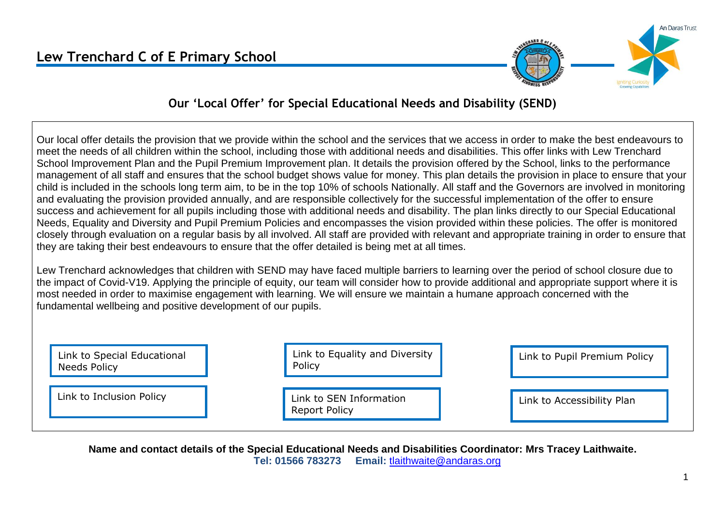

An Daras Trust

#### **Our 'Local Offer' for Special Educational Needs and Disability (SEND)**

Our local offer details the provision that we provide within the school and the services that we access in order to make the best endeavours to meet the needs of all children within the school, including those with additional needs and disabilities. This offer links with Lew Trenchard School Improvement Plan and the Pupil Premium Improvement plan. It details the provision offered by the School, links to the performance management of all staff and ensures that the school budget shows value for money. This plan details the provision in place to ensure that your child is included in the schools long term aim, to be in the top 10% of schools Nationally. All staff and the Governors are involved in monitoring and evaluating the provision provided annually, and are responsible collectively for the successful implementation of the offer to ensure success and achievement for all pupils including those with additional needs and disability. The plan links directly to our Special Educational Needs, Equality and Diversity and Pupil Premium Policies and encompasses the vision provided within these policies. The offer is monitored closely through evaluation on a regular basis by all involved. All staff are provided with relevant and appropriate training in order to ensure that they are taking their best endeavours to ensure that the offer detailed is being met at all times.

Lew Trenchard acknowledges that children with SEND may have faced multiple barriers to learning over the period of school closure due to the impact of Covid-V19. Applying the principle of equity, our team will consider how to provide additional and appropriate support where it is most needed in order to maximise engagement with learning. We will ensure we maintain a humane approach concerned with the fundamental wellbeing and positive development of our pupils.

| Link to Special Educational<br>Needs Policy | Link to Equality and Diversity<br>Policy        | Link to Pupil Premium Policy |
|---------------------------------------------|-------------------------------------------------|------------------------------|
| Link to Inclusion Policy                    | Link to SEN Information<br><b>Report Policy</b> | Link to Accessibility Plan   |

**Name and contact details of the Special Educational Needs and Disabilities Coordinator: Mrs Tracey Laithwaite. Tel: 01566 783273 Email:** [tlaithwaite@andaras.org](mailto:tlaithwaite@andaras.org)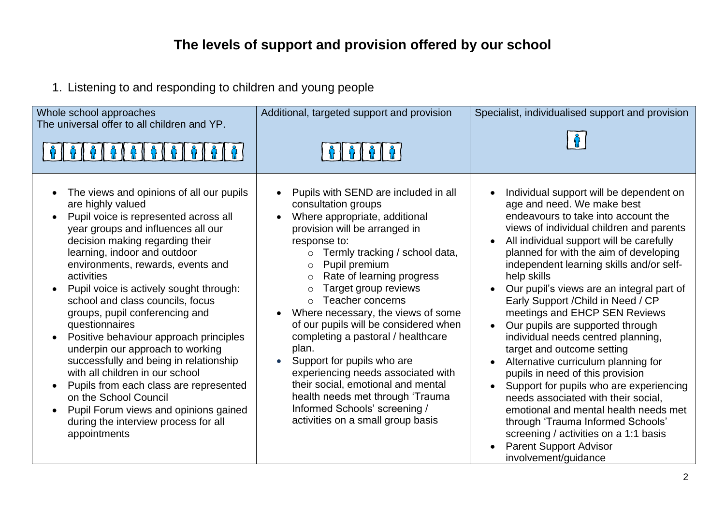# **The levels of support and provision offered by our school**

1. Listening to and responding to children and young people

| Whole school approaches<br>The universal offer to all children and YP.                                                                                                                                                                                                                                                                                                                                                                                                                                                                                                                                                                                                                                                                                                      | Additional, targeted support and provision                                                                                                                                                                                                                                                                                                                                                                                                                                                                                                                                                                                                                              | Specialist, individualised support and provision                                                                                                                                                                                                                                                                                                                                                                                                                                                                                                                                                                                                                                                                                                                                                                                                                                   |
|-----------------------------------------------------------------------------------------------------------------------------------------------------------------------------------------------------------------------------------------------------------------------------------------------------------------------------------------------------------------------------------------------------------------------------------------------------------------------------------------------------------------------------------------------------------------------------------------------------------------------------------------------------------------------------------------------------------------------------------------------------------------------------|-------------------------------------------------------------------------------------------------------------------------------------------------------------------------------------------------------------------------------------------------------------------------------------------------------------------------------------------------------------------------------------------------------------------------------------------------------------------------------------------------------------------------------------------------------------------------------------------------------------------------------------------------------------------------|------------------------------------------------------------------------------------------------------------------------------------------------------------------------------------------------------------------------------------------------------------------------------------------------------------------------------------------------------------------------------------------------------------------------------------------------------------------------------------------------------------------------------------------------------------------------------------------------------------------------------------------------------------------------------------------------------------------------------------------------------------------------------------------------------------------------------------------------------------------------------------|
| The views and opinions of all our pupils<br>$\bullet$<br>are highly valued<br>Pupil voice is represented across all<br>$\bullet$<br>year groups and influences all our<br>decision making regarding their<br>learning, indoor and outdoor<br>environments, rewards, events and<br>activities<br>Pupil voice is actively sought through:<br>school and class councils, focus<br>groups, pupil conferencing and<br>questionnaires<br>Positive behaviour approach principles<br>underpin our approach to working<br>successfully and being in relationship<br>with all children in our school<br>Pupils from each class are represented<br>on the School Council<br>Pupil Forum views and opinions gained<br>$\bullet$<br>during the interview process for all<br>appointments | Pupils with SEND are included in all<br>consultation groups<br>Where appropriate, additional<br>provision will be arranged in<br>response to:<br>Termly tracking / school data,<br>$\circ$<br>Pupil premium<br>$\circ$<br>Rate of learning progress<br>$\circ$<br>Target group reviews<br>Teacher concerns<br>$\circ$<br>Where necessary, the views of some<br>of our pupils will be considered when<br>completing a pastoral / healthcare<br>plan.<br>Support for pupils who are<br>experiencing needs associated with<br>their social, emotional and mental<br>health needs met through 'Trauma<br>Informed Schools' screening /<br>activities on a small group basis | Individual support will be dependent on<br>age and need. We make best<br>endeavours to take into account the<br>views of individual children and parents<br>All individual support will be carefully<br>planned for with the aim of developing<br>independent learning skills and/or self-<br>help skills<br>Our pupil's views are an integral part of<br>Early Support / Child in Need / CP<br>meetings and EHCP SEN Reviews<br>Our pupils are supported through<br>individual needs centred planning,<br>target and outcome setting<br>Alternative curriculum planning for<br>pupils in need of this provision<br>Support for pupils who are experiencing<br>needs associated with their social,<br>emotional and mental health needs met<br>through 'Trauma Informed Schools'<br>screening / activities on a 1:1 basis<br><b>Parent Support Advisor</b><br>involvement/quidance |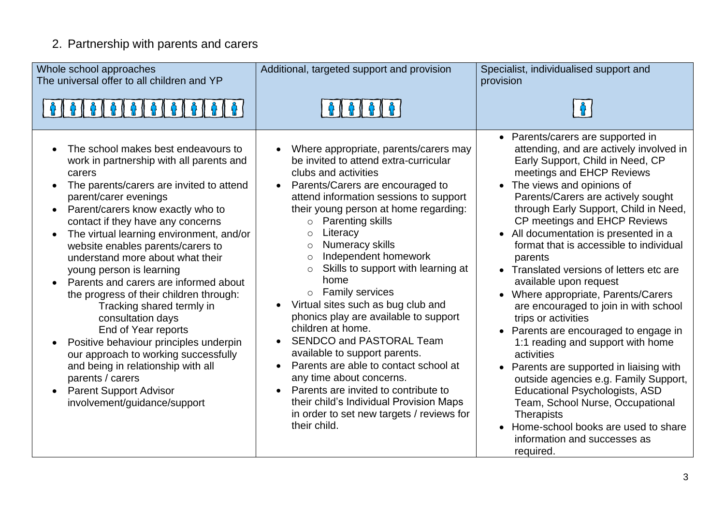# 2. Partnership with parents and carers

| Whole school approaches<br>The universal offer to all children and YP                                                                                                                                                                                                                                                                                                                                                                                                                                                                                                                                                                                                                                                                                                                         | Additional, targeted support and provision                                                                                                                                                                                                                                                                                                                                                                                                                                                                                                                                                                                                                                                                                                                                                                                                          | Specialist, individualised support and<br>provision                                                                                                                                                                                                                                                                                                                                                                                                                                                                                                                                                                                                                                                                                                                                                                                                                                                                                                 |
|-----------------------------------------------------------------------------------------------------------------------------------------------------------------------------------------------------------------------------------------------------------------------------------------------------------------------------------------------------------------------------------------------------------------------------------------------------------------------------------------------------------------------------------------------------------------------------------------------------------------------------------------------------------------------------------------------------------------------------------------------------------------------------------------------|-----------------------------------------------------------------------------------------------------------------------------------------------------------------------------------------------------------------------------------------------------------------------------------------------------------------------------------------------------------------------------------------------------------------------------------------------------------------------------------------------------------------------------------------------------------------------------------------------------------------------------------------------------------------------------------------------------------------------------------------------------------------------------------------------------------------------------------------------------|-----------------------------------------------------------------------------------------------------------------------------------------------------------------------------------------------------------------------------------------------------------------------------------------------------------------------------------------------------------------------------------------------------------------------------------------------------------------------------------------------------------------------------------------------------------------------------------------------------------------------------------------------------------------------------------------------------------------------------------------------------------------------------------------------------------------------------------------------------------------------------------------------------------------------------------------------------|
| 0   0   0   0   0   0   0   0                                                                                                                                                                                                                                                                                                                                                                                                                                                                                                                                                                                                                                                                                                                                                                 |                                                                                                                                                                                                                                                                                                                                                                                                                                                                                                                                                                                                                                                                                                                                                                                                                                                     |                                                                                                                                                                                                                                                                                                                                                                                                                                                                                                                                                                                                                                                                                                                                                                                                                                                                                                                                                     |
| The school makes best endeavours to<br>work in partnership with all parents and<br>carers<br>The parents/carers are invited to attend<br>$\bullet$<br>parent/carer evenings<br>Parent/carers know exactly who to<br>$\bullet$<br>contact if they have any concerns<br>The virtual learning environment, and/or<br>website enables parents/carers to<br>understand more about what their<br>young person is learning<br>Parents and carers are informed about<br>the progress of their children through:<br>Tracking shared termly in<br>consultation days<br>End of Year reports<br>Positive behaviour principles underpin<br>our approach to working successfully<br>and being in relationship with all<br>parents / carers<br><b>Parent Support Advisor</b><br>involvement/guidance/support | Where appropriate, parents/carers may<br>be invited to attend extra-curricular<br>clubs and activities<br>Parents/Carers are encouraged to<br>$\bullet$<br>attend information sessions to support<br>their young person at home regarding:<br><b>Parenting skills</b><br>$\circ$<br>Literacy<br>$\circ$<br>Numeracy skills<br>$\circ$<br>Independent homework<br>$\circ$<br>Skills to support with learning at<br>$\circ$<br>home<br>o Family services<br>Virtual sites such as bug club and<br>phonics play are available to support<br>children at home.<br><b>SENDCO and PASTORAL Team</b><br>available to support parents.<br>Parents are able to contact school at<br>any time about concerns.<br>Parents are invited to contribute to<br>their child's Individual Provision Maps<br>in order to set new targets / reviews for<br>their child. | Parents/carers are supported in<br>$\bullet$<br>attending, and are actively involved in<br>Early Support, Child in Need, CP<br>meetings and EHCP Reviews<br>• The views and opinions of<br>Parents/Carers are actively sought<br>through Early Support, Child in Need,<br>CP meetings and EHCP Reviews<br>All documentation is presented in a<br>format that is accessible to individual<br>parents<br>• Translated versions of letters etc are<br>available upon request<br>Where appropriate, Parents/Carers<br>are encouraged to join in with school<br>trips or activities<br>• Parents are encouraged to engage in<br>1:1 reading and support with home<br>activities<br>Parents are supported in liaising with<br>outside agencies e.g. Family Support,<br><b>Educational Psychologists, ASD</b><br>Team, School Nurse, Occupational<br><b>Therapists</b><br>Home-school books are used to share<br>information and successes as<br>required. |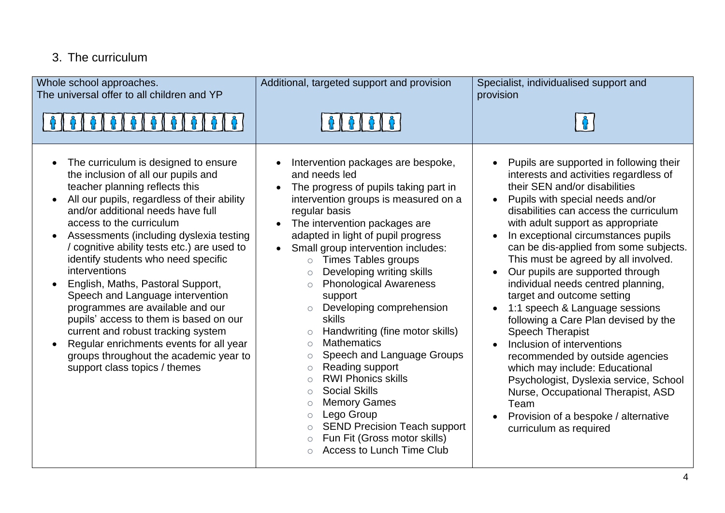### 3. The curriculum

| Whole school approaches.<br>The universal offer to all children and YP                                                                                                                                                                                                                                                                                                                                                                                                                                                                                                                                                                                                                             | Additional, targeted support and provision                                                                                                                                                                                                                                                                                                                                                                                                                                                                                                                                                                                                                                                                                                                                                                                                                              | Specialist, individualised support and<br>provision                                                                                                                                                                                                                                                                                                                                                                                                                                                                                                                                                                                                                                                                                                                                                                                                                                                       |
|----------------------------------------------------------------------------------------------------------------------------------------------------------------------------------------------------------------------------------------------------------------------------------------------------------------------------------------------------------------------------------------------------------------------------------------------------------------------------------------------------------------------------------------------------------------------------------------------------------------------------------------------------------------------------------------------------|-------------------------------------------------------------------------------------------------------------------------------------------------------------------------------------------------------------------------------------------------------------------------------------------------------------------------------------------------------------------------------------------------------------------------------------------------------------------------------------------------------------------------------------------------------------------------------------------------------------------------------------------------------------------------------------------------------------------------------------------------------------------------------------------------------------------------------------------------------------------------|-----------------------------------------------------------------------------------------------------------------------------------------------------------------------------------------------------------------------------------------------------------------------------------------------------------------------------------------------------------------------------------------------------------------------------------------------------------------------------------------------------------------------------------------------------------------------------------------------------------------------------------------------------------------------------------------------------------------------------------------------------------------------------------------------------------------------------------------------------------------------------------------------------------|
|                                                                                                                                                                                                                                                                                                                                                                                                                                                                                                                                                                                                                                                                                                    |                                                                                                                                                                                                                                                                                                                                                                                                                                                                                                                                                                                                                                                                                                                                                                                                                                                                         |                                                                                                                                                                                                                                                                                                                                                                                                                                                                                                                                                                                                                                                                                                                                                                                                                                                                                                           |
| The curriculum is designed to ensure<br>the inclusion of all our pupils and<br>teacher planning reflects this<br>All our pupils, regardless of their ability<br>and/or additional needs have full<br>access to the curriculum<br>Assessments (including dyslexia testing<br>/ cognitive ability tests etc.) are used to<br>identify students who need specific<br>interventions<br>English, Maths, Pastoral Support,<br>Speech and Language intervention<br>programmes are available and our<br>pupils' access to them is based on our<br>current and robust tracking system<br>Regular enrichments events for all year<br>groups throughout the academic year to<br>support class topics / themes | Intervention packages are bespoke,<br>and needs led<br>The progress of pupils taking part in<br>intervention groups is measured on a<br>regular basis<br>The intervention packages are<br>adapted in light of pupil progress<br>Small group intervention includes:<br>$\bullet$<br><b>Times Tables groups</b><br>$\circ$<br>Developing writing skills<br><b>Phonological Awareness</b><br>$\circ$<br>support<br>Developing comprehension<br>$\circ$<br>skills<br>Handwriting (fine motor skills)<br><b>Mathematics</b><br>$\circ$<br>Speech and Language Groups<br>$\circ$<br>Reading support<br>$\circ$<br><b>RWI Phonics skills</b><br>$\bigcirc$<br><b>Social Skills</b><br>$\circ$<br><b>Memory Games</b><br>$\circ$<br>Lego Group<br>$\circ$<br><b>SEND Precision Teach support</b><br>$\circ$<br>Fun Fit (Gross motor skills)<br><b>Access to Lunch Time Club</b> | Pupils are supported in following their<br>interests and activities regardless of<br>their SEN and/or disabilities<br>Pupils with special needs and/or<br>$\bullet$<br>disabilities can access the curriculum<br>with adult support as appropriate<br>In exceptional circumstances pupils<br>$\bullet$<br>can be dis-applied from some subjects.<br>This must be agreed by all involved.<br>Our pupils are supported through<br>$\bullet$<br>individual needs centred planning,<br>target and outcome setting<br>1:1 speech & Language sessions<br>$\bullet$<br>following a Care Plan devised by the<br><b>Speech Therapist</b><br>Inclusion of interventions<br>$\bullet$<br>recommended by outside agencies<br>which may include: Educational<br>Psychologist, Dyslexia service, School<br>Nurse, Occupational Therapist, ASD<br>Team<br>Provision of a bespoke / alternative<br>curriculum as required |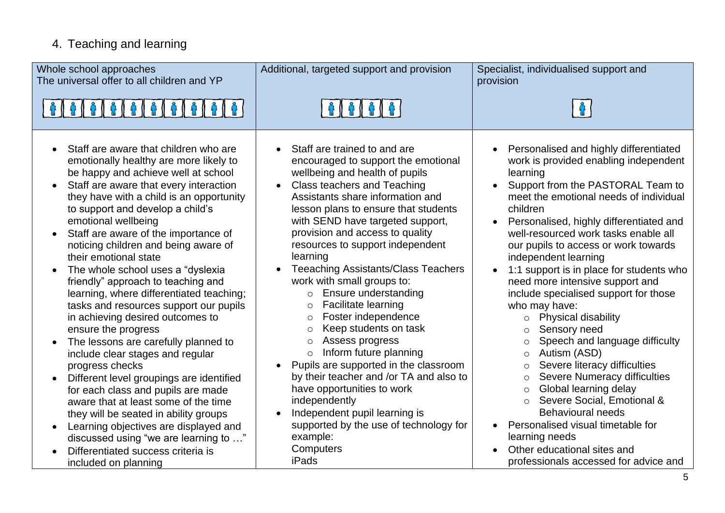## 4. Teaching and learning

| Whole school approaches<br>The universal offer to all children and YP                                                                                                                                                                                                                                                                                                                                                                                                                                                                                                                                                                                                                                                                                                                                                                                                                                                                                                                                               | Additional, targeted support and provision                                                                                                                                                                                                                                                                                                                                                                                                                                                                                                                                                                                                                                                                                                                                                                                                                                      | Specialist, individualised support and<br>provision                                                                                                                                                                                                                                                                                                                                                                                                                                                                                                                                                                                                                                                                                                                                                                                                                                                                                                     |
|---------------------------------------------------------------------------------------------------------------------------------------------------------------------------------------------------------------------------------------------------------------------------------------------------------------------------------------------------------------------------------------------------------------------------------------------------------------------------------------------------------------------------------------------------------------------------------------------------------------------------------------------------------------------------------------------------------------------------------------------------------------------------------------------------------------------------------------------------------------------------------------------------------------------------------------------------------------------------------------------------------------------|---------------------------------------------------------------------------------------------------------------------------------------------------------------------------------------------------------------------------------------------------------------------------------------------------------------------------------------------------------------------------------------------------------------------------------------------------------------------------------------------------------------------------------------------------------------------------------------------------------------------------------------------------------------------------------------------------------------------------------------------------------------------------------------------------------------------------------------------------------------------------------|---------------------------------------------------------------------------------------------------------------------------------------------------------------------------------------------------------------------------------------------------------------------------------------------------------------------------------------------------------------------------------------------------------------------------------------------------------------------------------------------------------------------------------------------------------------------------------------------------------------------------------------------------------------------------------------------------------------------------------------------------------------------------------------------------------------------------------------------------------------------------------------------------------------------------------------------------------|
| $\theta$ $\theta$                                                                                                                                                                                                                                                                                                                                                                                                                                                                                                                                                                                                                                                                                                                                                                                                                                                                                                                                                                                                   |                                                                                                                                                                                                                                                                                                                                                                                                                                                                                                                                                                                                                                                                                                                                                                                                                                                                                 |                                                                                                                                                                                                                                                                                                                                                                                                                                                                                                                                                                                                                                                                                                                                                                                                                                                                                                                                                         |
| Staff are aware that children who are<br>emotionally healthy are more likely to<br>be happy and achieve well at school<br>Staff are aware that every interaction<br>they have with a child is an opportunity<br>to support and develop a child's<br>emotional wellbeing<br>Staff are aware of the importance of<br>noticing children and being aware of<br>their emotional state<br>The whole school uses a "dyslexia<br>friendly" approach to teaching and<br>learning, where differentiated teaching;<br>tasks and resources support our pupils<br>in achieving desired outcomes to<br>ensure the progress<br>The lessons are carefully planned to<br>$\bullet$<br>include clear stages and regular<br>progress checks<br>Different level groupings are identified<br>for each class and pupils are made<br>aware that at least some of the time<br>they will be seated in ability groups<br>Learning objectives are displayed and<br>discussed using "we are learning to "<br>Differentiated success criteria is | Staff are trained to and are<br>encouraged to support the emotional<br>wellbeing and health of pupils<br><b>Class teachers and Teaching</b><br>Assistants share information and<br>lesson plans to ensure that students<br>with SEND have targeted support,<br>provision and access to quality<br>resources to support independent<br>learning<br><b>Teeaching Assistants/Class Teachers</b><br>work with small groups to:<br>Ensure understanding<br>$\circ$<br>Facilitate learning<br>$\circ$<br>Foster independence<br>$\circ$<br>Keep students on task<br>$\circ$<br>Assess progress<br>$\circ$<br>Inform future planning<br>$\circ$<br>Pupils are supported in the classroom<br>by their teacher and /or TA and also to<br>have opportunities to work<br>independently<br>Independent pupil learning is<br>supported by the use of technology for<br>example:<br>Computers | Personalised and highly differentiated<br>work is provided enabling independent<br>learning<br>Support from the PASTORAL Team to<br>meet the emotional needs of individual<br>children<br>Personalised, highly differentiated and<br>$\bullet$<br>well-resourced work tasks enable all<br>our pupils to access or work towards<br>independent learning<br>1:1 support is in place for students who<br>$\bullet$<br>need more intensive support and<br>include specialised support for those<br>who may have:<br><b>Physical disability</b><br>$\circ$<br>Sensory need<br>$\bigcirc$<br>Speech and language difficulty<br>$\circ$<br>Autism (ASD)<br>$\circ$<br>Severe literacy difficulties<br>$\circ$<br><b>Severe Numeracy difficulties</b><br>$\circ$<br>Global learning delay<br>$\circ$<br>Severe Social, Emotional &<br>$\circ$<br><b>Behavioural needs</b><br>Personalised visual timetable for<br>learning needs<br>Other educational sites and |
| included on planning                                                                                                                                                                                                                                                                                                                                                                                                                                                                                                                                                                                                                                                                                                                                                                                                                                                                                                                                                                                                | <b>iPads</b>                                                                                                                                                                                                                                                                                                                                                                                                                                                                                                                                                                                                                                                                                                                                                                                                                                                                    | professionals accessed for advice and                                                                                                                                                                                                                                                                                                                                                                                                                                                                                                                                                                                                                                                                                                                                                                                                                                                                                                                   |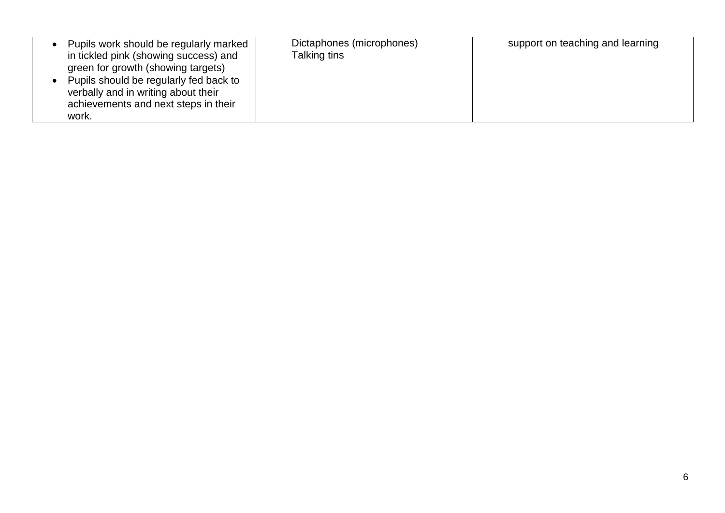| Pupils work should be regularly marked<br>in tickled pink (showing success) and<br>green for growth (showing targets)<br>Pupils should be regularly fed back to<br>verbally and in writing about their<br>achievements and next steps in their<br>work. | Dictaphones (microphones)<br>Talking tins | support on teaching and learning |
|---------------------------------------------------------------------------------------------------------------------------------------------------------------------------------------------------------------------------------------------------------|-------------------------------------------|----------------------------------|
|---------------------------------------------------------------------------------------------------------------------------------------------------------------------------------------------------------------------------------------------------------|-------------------------------------------|----------------------------------|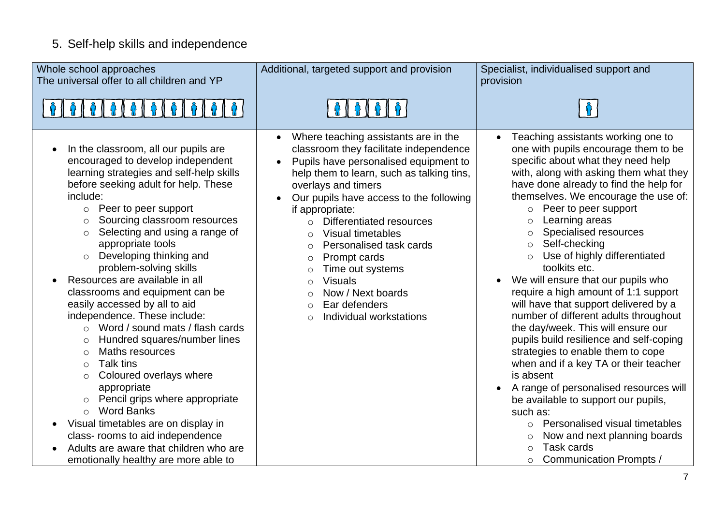## 5. Self-help skills and independence

| Whole school approaches<br>The universal offer to all children and YP                                                                                                                                                                                                                                                                                                                                                                                                                                                                                                                                                                                                                                                                                                                                                                                                                                                                                                                                          | Additional, targeted support and provision                                                                                                                                                                                                                                                                                                                                                                                                                                                                                                                          | Specialist, individualised support and<br>provision                                                                                                                                                                                                                                                                                                                                                                                                                                                                                                                                                                                                                                                                                                                                                                                                                                                                                                                                                                                  |
|----------------------------------------------------------------------------------------------------------------------------------------------------------------------------------------------------------------------------------------------------------------------------------------------------------------------------------------------------------------------------------------------------------------------------------------------------------------------------------------------------------------------------------------------------------------------------------------------------------------------------------------------------------------------------------------------------------------------------------------------------------------------------------------------------------------------------------------------------------------------------------------------------------------------------------------------------------------------------------------------------------------|---------------------------------------------------------------------------------------------------------------------------------------------------------------------------------------------------------------------------------------------------------------------------------------------------------------------------------------------------------------------------------------------------------------------------------------------------------------------------------------------------------------------------------------------------------------------|--------------------------------------------------------------------------------------------------------------------------------------------------------------------------------------------------------------------------------------------------------------------------------------------------------------------------------------------------------------------------------------------------------------------------------------------------------------------------------------------------------------------------------------------------------------------------------------------------------------------------------------------------------------------------------------------------------------------------------------------------------------------------------------------------------------------------------------------------------------------------------------------------------------------------------------------------------------------------------------------------------------------------------------|
|                                                                                                                                                                                                                                                                                                                                                                                                                                                                                                                                                                                                                                                                                                                                                                                                                                                                                                                                                                                                                |                                                                                                                                                                                                                                                                                                                                                                                                                                                                                                                                                                     |                                                                                                                                                                                                                                                                                                                                                                                                                                                                                                                                                                                                                                                                                                                                                                                                                                                                                                                                                                                                                                      |
| In the classroom, all our pupils are<br>$\bullet$<br>encouraged to develop independent<br>learning strategies and self-help skills<br>before seeking adult for help. These<br>include:<br>Peer to peer support<br>$\circ$<br>Sourcing classroom resources<br>$\circ$<br>Selecting and using a range of<br>$\circ$<br>appropriate tools<br>Developing thinking and<br>$\circ$<br>problem-solving skills<br>Resources are available in all<br>classrooms and equipment can be<br>easily accessed by all to aid<br>independence. These include:<br>Word / sound mats / flash cards<br>$\circ$<br>Hundred squares/number lines<br>$\circ$<br>Maths resources<br>$\circ$<br><b>Talk tins</b><br>$\circ$<br>Coloured overlays where<br>$\circ$<br>appropriate<br>Pencil grips where appropriate<br>$\circ$<br><b>Word Banks</b><br>$\circ$<br>Visual timetables are on display in<br>$\bullet$<br>class- rooms to aid independence<br>Adults are aware that children who are<br>emotionally healthy are more able to | Where teaching assistants are in the<br>classroom they facilitate independence<br>Pupils have personalised equipment to<br>help them to learn, such as talking tins,<br>overlays and timers<br>Our pupils have access to the following<br>if appropriate:<br>Differentiated resources<br>$\Omega$<br>Visual timetables<br>$\circ$<br>Personalised task cards<br>$\circ$<br>Prompt cards<br>$\circ$<br>Time out systems<br>$\circ$<br><b>Visuals</b><br>$\circ$<br>Now / Next boards<br>$\circ$<br>Ear defenders<br>$\bigcirc$<br>Individual workstations<br>$\circ$ | Teaching assistants working one to<br>one with pupils encourage them to be<br>specific about what they need help<br>with, along with asking them what they<br>have done already to find the help for<br>themselves. We encourage the use of:<br>Peer to peer support<br>$\circ$<br>Learning areas<br>$\circ$<br>Specialised resources<br>$\circ$<br>Self-checking<br>$\circ$<br>Use of highly differentiated<br>toolkits etc.<br>We will ensure that our pupils who<br>require a high amount of 1:1 support<br>will have that support delivered by a<br>number of different adults throughout<br>the day/week. This will ensure our<br>pupils build resilience and self-coping<br>strategies to enable them to cope<br>when and if a key TA or their teacher<br>is absent<br>A range of personalised resources will<br>be available to support our pupils,<br>such as:<br>Personalised visual timetables<br>$\circ$<br>Now and next planning boards<br>$\circ$<br>Task cards<br>$\circ$<br><b>Communication Prompts /</b><br>$\circ$ |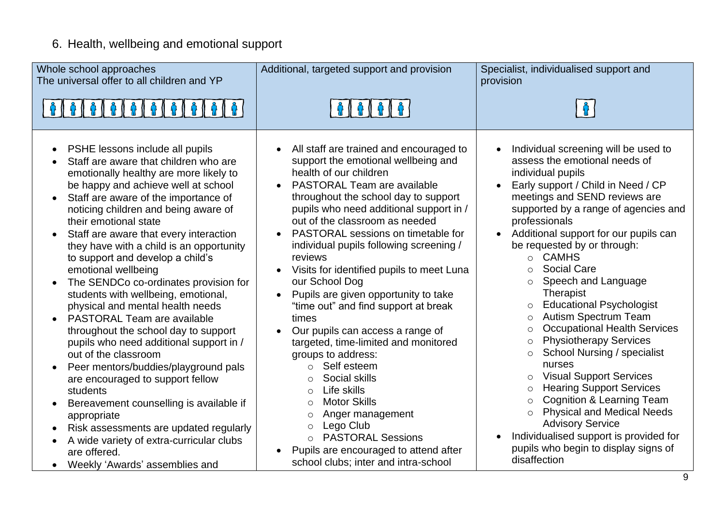# 6. Health, wellbeing and emotional support

| Whole school approaches<br>The universal offer to all children and YP                                                                                                                                                                                                                                                                                                                                                                                                                                                                                                                                                                                                                                                                                                                                                                                                                                                                                                                                                                                                         | Additional, targeted support and provision                                                                                                                                                                                                                                                                                                                                                                                                                                                                                                                                                                                                                                                                                                                                                                                                                                                                                                                               | Specialist, individualised support and<br>provision                                                                                                                                                                                                                                                                                                                                                                                                                                                                                                                                                                                                                                                                                                                                                                                                                                                                                                                               |
|-------------------------------------------------------------------------------------------------------------------------------------------------------------------------------------------------------------------------------------------------------------------------------------------------------------------------------------------------------------------------------------------------------------------------------------------------------------------------------------------------------------------------------------------------------------------------------------------------------------------------------------------------------------------------------------------------------------------------------------------------------------------------------------------------------------------------------------------------------------------------------------------------------------------------------------------------------------------------------------------------------------------------------------------------------------------------------|--------------------------------------------------------------------------------------------------------------------------------------------------------------------------------------------------------------------------------------------------------------------------------------------------------------------------------------------------------------------------------------------------------------------------------------------------------------------------------------------------------------------------------------------------------------------------------------------------------------------------------------------------------------------------------------------------------------------------------------------------------------------------------------------------------------------------------------------------------------------------------------------------------------------------------------------------------------------------|-----------------------------------------------------------------------------------------------------------------------------------------------------------------------------------------------------------------------------------------------------------------------------------------------------------------------------------------------------------------------------------------------------------------------------------------------------------------------------------------------------------------------------------------------------------------------------------------------------------------------------------------------------------------------------------------------------------------------------------------------------------------------------------------------------------------------------------------------------------------------------------------------------------------------------------------------------------------------------------|
|                                                                                                                                                                                                                                                                                                                                                                                                                                                                                                                                                                                                                                                                                                                                                                                                                                                                                                                                                                                                                                                                               |                                                                                                                                                                                                                                                                                                                                                                                                                                                                                                                                                                                                                                                                                                                                                                                                                                                                                                                                                                          |                                                                                                                                                                                                                                                                                                                                                                                                                                                                                                                                                                                                                                                                                                                                                                                                                                                                                                                                                                                   |
| PSHE lessons include all pupils<br>$\bullet$<br>Staff are aware that children who are<br>$\bullet$<br>emotionally healthy are more likely to<br>be happy and achieve well at school<br>Staff are aware of the importance of<br>noticing children and being aware of<br>their emotional state<br>Staff are aware that every interaction<br>$\bullet$<br>they have with a child is an opportunity<br>to support and develop a child's<br>emotional wellbeing<br>The SENDCo co-ordinates provision for<br>$\bullet$<br>students with wellbeing, emotional,<br>physical and mental health needs<br><b>PASTORAL Team are available</b><br>throughout the school day to support<br>pupils who need additional support in /<br>out of the classroom<br>Peer mentors/buddies/playground pals<br>are encouraged to support fellow<br>students<br>Bereavement counselling is available if<br>$\bullet$<br>appropriate<br>Risk assessments are updated regularly<br>$\bullet$<br>A wide variety of extra-curricular clubs<br>are offered.<br>Weekly 'Awards' assemblies and<br>$\bullet$ | All staff are trained and encouraged to<br>support the emotional wellbeing and<br>health of our children<br><b>PASTORAL Team are available</b><br>$\bullet$<br>throughout the school day to support<br>pupils who need additional support in /<br>out of the classroom as needed<br>PASTORAL sessions on timetable for<br>$\bullet$<br>individual pupils following screening /<br>reviews<br>Visits for identified pupils to meet Luna<br>our School Dog<br>Pupils are given opportunity to take<br>$\bullet$<br>"time out" and find support at break<br>times<br>Our pupils can access a range of<br>targeted, time-limited and monitored<br>groups to address:<br>Self esteem<br>$\circ$<br>Social skills<br>$\Omega$<br>Life skills<br>$\bigcirc$<br><b>Motor Skills</b><br>$\bigcirc$<br>Anger management<br>$\circ$<br>Lego Club<br>$\circ$<br><b>PASTORAL Sessions</b><br>$\circ$<br>Pupils are encouraged to attend after<br>school clubs; inter and intra-school | Individual screening will be used to<br>assess the emotional needs of<br>individual pupils<br>Early support / Child in Need / CP<br>meetings and SEND reviews are<br>supported by a range of agencies and<br>professionals<br>Additional support for our pupils can<br>$\bullet$<br>be requested by or through:<br>o CAMHS<br>Social Care<br>$\Omega$<br>Speech and Language<br>$\circ$<br>Therapist<br><b>Educational Psychologist</b><br>$\circ$<br><b>Autism Spectrum Team</b><br>$\circ$<br><b>Occupational Health Services</b><br>$\circ$<br><b>Physiotherapy Services</b><br>$\circ$<br><b>School Nursing / specialist</b><br>$\circ$<br>nurses<br><b>Visual Support Services</b><br>$\circ$<br><b>Hearing Support Services</b><br>$\circ$<br><b>Cognition &amp; Learning Team</b><br>$\circ$<br><b>Physical and Medical Needs</b><br>$\Omega$<br><b>Advisory Service</b><br>Individualised support is provided for<br>pupils who begin to display signs of<br>disaffection |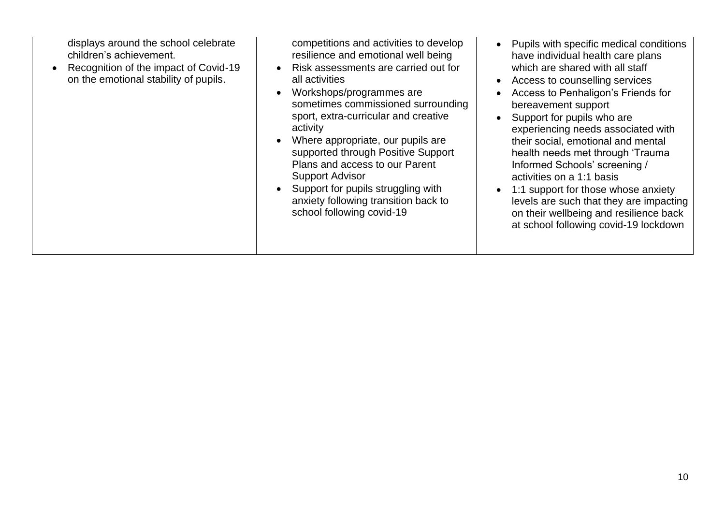| displays around the school celebrate<br>children's achievement.<br>Recognition of the impact of Covid-19<br>on the emotional stability of pupils. | competitions and activities to develop<br>resilience and emotional well being<br>Risk assessments are carried out for<br>all activities<br>Workshops/programmes are<br>sometimes commissioned surrounding<br>sport, extra-curricular and creative<br>activity<br>Where appropriate, our pupils are<br>supported through Positive Support<br>Plans and access to our Parent<br><b>Support Advisor</b><br>Support for pupils struggling with<br>anxiety following transition back to<br>school following covid-19 | Pupils with specific medical conditions<br>have individual health care plans<br>which are shared with all staff<br>Access to counselling services<br>Access to Penhaligon's Friends for<br>bereavement support<br>Support for pupils who are<br>experiencing needs associated with<br>their social, emotional and mental<br>health needs met through 'Trauma<br>Informed Schools' screening /<br>activities on a 1:1 basis<br>1:1 support for those whose anxiety<br>levels are such that they are impacting<br>on their wellbeing and resilience back<br>at school following covid-19 lockdown |
|---------------------------------------------------------------------------------------------------------------------------------------------------|-----------------------------------------------------------------------------------------------------------------------------------------------------------------------------------------------------------------------------------------------------------------------------------------------------------------------------------------------------------------------------------------------------------------------------------------------------------------------------------------------------------------|-------------------------------------------------------------------------------------------------------------------------------------------------------------------------------------------------------------------------------------------------------------------------------------------------------------------------------------------------------------------------------------------------------------------------------------------------------------------------------------------------------------------------------------------------------------------------------------------------|
|---------------------------------------------------------------------------------------------------------------------------------------------------|-----------------------------------------------------------------------------------------------------------------------------------------------------------------------------------------------------------------------------------------------------------------------------------------------------------------------------------------------------------------------------------------------------------------------------------------------------------------------------------------------------------------|-------------------------------------------------------------------------------------------------------------------------------------------------------------------------------------------------------------------------------------------------------------------------------------------------------------------------------------------------------------------------------------------------------------------------------------------------------------------------------------------------------------------------------------------------------------------------------------------------|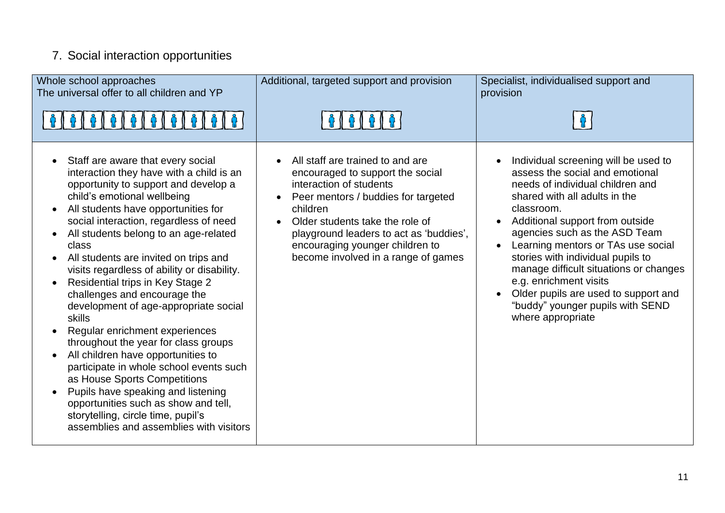# 7. Social interaction opportunities

| Whole school approaches<br>The universal offer to all children and YP<br>&   &   &   &   &   &   &   &   &                                                                                                                                                                                                                                                                                                                                                                                                                                                                                                                                                                                                                                                                                                                                                                                 | Additional, targeted support and provision                                                                                                                                                                                                                                                                 | Specialist, individualised support and<br>provision                                                                                                                                                                                                                                                                                                                                                                                                                            |
|--------------------------------------------------------------------------------------------------------------------------------------------------------------------------------------------------------------------------------------------------------------------------------------------------------------------------------------------------------------------------------------------------------------------------------------------------------------------------------------------------------------------------------------------------------------------------------------------------------------------------------------------------------------------------------------------------------------------------------------------------------------------------------------------------------------------------------------------------------------------------------------------|------------------------------------------------------------------------------------------------------------------------------------------------------------------------------------------------------------------------------------------------------------------------------------------------------------|--------------------------------------------------------------------------------------------------------------------------------------------------------------------------------------------------------------------------------------------------------------------------------------------------------------------------------------------------------------------------------------------------------------------------------------------------------------------------------|
| Staff are aware that every social<br>interaction they have with a child is an<br>opportunity to support and develop a<br>child's emotional wellbeing<br>All students have opportunities for<br>$\bullet$<br>social interaction, regardless of need<br>All students belong to an age-related<br>class<br>All students are invited on trips and<br>visits regardless of ability or disability.<br>Residential trips in Key Stage 2<br>challenges and encourage the<br>development of age-appropriate social<br>skills<br>Regular enrichment experiences<br>throughout the year for class groups<br>All children have opportunities to<br>$\bullet$<br>participate in whole school events such<br>as House Sports Competitions<br>Pupils have speaking and listening<br>opportunities such as show and tell,<br>storytelling, circle time, pupil's<br>assemblies and assemblies with visitors | All staff are trained to and are<br>encouraged to support the social<br>interaction of students<br>Peer mentors / buddies for targeted<br>children<br>Older students take the role of<br>playground leaders to act as 'buddies',<br>encouraging younger children to<br>become involved in a range of games | Individual screening will be used to<br>assess the social and emotional<br>needs of individual children and<br>shared with all adults in the<br>classroom.<br>Additional support from outside<br>agencies such as the ASD Team<br>Learning mentors or TAs use social<br>stories with individual pupils to<br>manage difficult situations or changes<br>e.g. enrichment visits<br>Older pupils are used to support and<br>"buddy" younger pupils with SEND<br>where appropriate |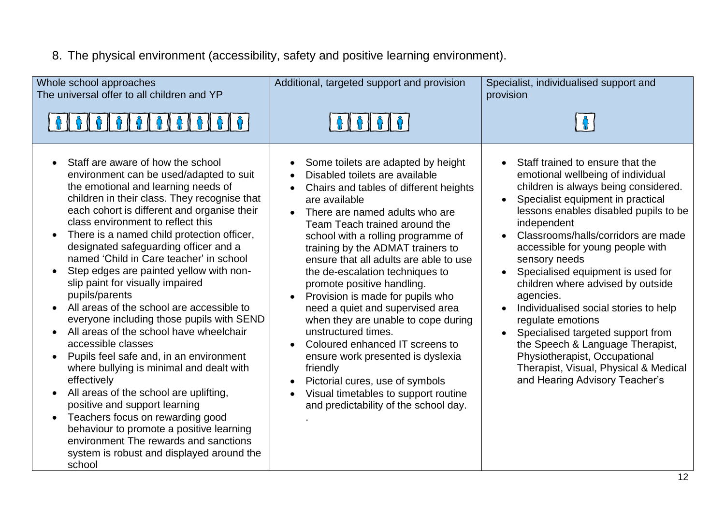## 8. The physical environment (accessibility, safety and positive learning environment).

| Whole school approaches<br>The universal offer to all children and YP<br>0   0   0   0   0   0   0   0   0                                                                                                                                                                                                                                                                                                                                                                                                                                                                                                                                                                                                                                                                                                                                                                                                                                                                                                                                       | Additional, targeted support and provision                                                                                                                                                                                                                                                                                                                                                                                                                                                                                                                                                                                                                                                                                             | Specialist, individualised support and<br>provision                                                                                                                                                                                                                                                                                                                                                                                                                                                                                                                                                                                                                                           |
|--------------------------------------------------------------------------------------------------------------------------------------------------------------------------------------------------------------------------------------------------------------------------------------------------------------------------------------------------------------------------------------------------------------------------------------------------------------------------------------------------------------------------------------------------------------------------------------------------------------------------------------------------------------------------------------------------------------------------------------------------------------------------------------------------------------------------------------------------------------------------------------------------------------------------------------------------------------------------------------------------------------------------------------------------|----------------------------------------------------------------------------------------------------------------------------------------------------------------------------------------------------------------------------------------------------------------------------------------------------------------------------------------------------------------------------------------------------------------------------------------------------------------------------------------------------------------------------------------------------------------------------------------------------------------------------------------------------------------------------------------------------------------------------------------|-----------------------------------------------------------------------------------------------------------------------------------------------------------------------------------------------------------------------------------------------------------------------------------------------------------------------------------------------------------------------------------------------------------------------------------------------------------------------------------------------------------------------------------------------------------------------------------------------------------------------------------------------------------------------------------------------|
| Staff are aware of how the school<br>environment can be used/adapted to suit<br>the emotional and learning needs of<br>children in their class. They recognise that<br>each cohort is different and organise their<br>class environment to reflect this<br>There is a named child protection officer,<br>designated safeguarding officer and a<br>named 'Child in Care teacher' in school<br>Step edges are painted yellow with non-<br>slip paint for visually impaired<br>pupils/parents<br>All areas of the school are accessible to<br>$\bullet$<br>everyone including those pupils with SEND<br>All areas of the school have wheelchair<br>accessible classes<br>Pupils feel safe and, in an environment<br>where bullying is minimal and dealt with<br>effectively<br>All areas of the school are uplifting,<br>positive and support learning<br>Teachers focus on rewarding good<br>$\bullet$<br>behaviour to promote a positive learning<br>environment The rewards and sanctions<br>system is robust and displayed around the<br>school | Some toilets are adapted by height<br>Disabled toilets are available<br>Chairs and tables of different heights<br>are available<br>There are named adults who are<br>Team Teach trained around the<br>school with a rolling programme of<br>training by the ADMAT trainers to<br>ensure that all adults are able to use<br>the de-escalation techniques to<br>promote positive handling.<br>Provision is made for pupils who<br>need a quiet and supervised area<br>when they are unable to cope during<br>unstructured times.<br>Coloured enhanced IT screens to<br>ensure work presented is dyslexia<br>friendly<br>Pictorial cures, use of symbols<br>Visual timetables to support routine<br>and predictability of the school day. | Staff trained to ensure that the<br>$\bullet$<br>emotional wellbeing of individual<br>children is always being considered.<br>Specialist equipment in practical<br>$\bullet$<br>lessons enables disabled pupils to be<br>independent<br>Classrooms/halls/corridors are made<br>accessible for young people with<br>sensory needs<br>Specialised equipment is used for<br>children where advised by outside<br>agencies.<br>Individualised social stories to help<br>$\bullet$<br>regulate emotions<br>Specialised targeted support from<br>the Speech & Language Therapist,<br>Physiotherapist, Occupational<br>Therapist, Visual, Physical & Medical<br>and Hearing Advisory Teacher's<br>12 |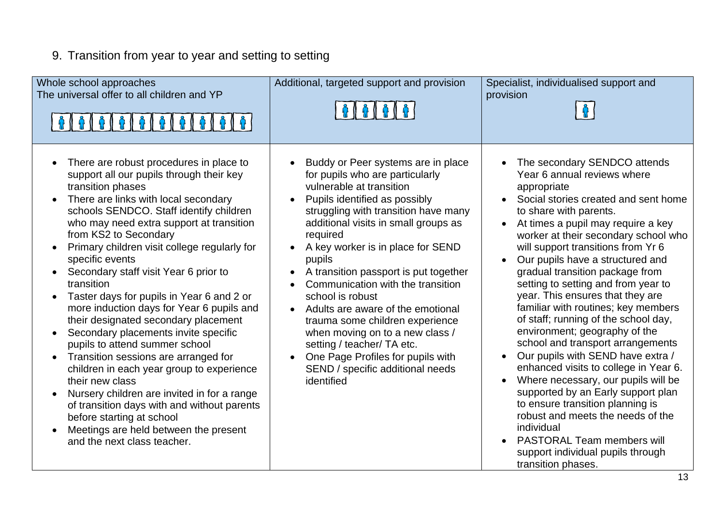# 9. Transition from year to year and setting to setting

| Whole school approaches<br>The universal offer to all children and YP                                                                                                                                                                                                                                                                                                                                                                                                                                                                                                                                                                                                                                                                                                                                                                                                                                             | Additional, targeted support and provision                                                                                                                                                                                                                                                                                                                                                                                                                                                                                                                                                                                   | Specialist, individualised support and<br>provision                                                                                                                                                                                                                                                                                                                                                                                                                                                                                                                                                                                                                                                                                                                                                                                                                                                                                    |
|-------------------------------------------------------------------------------------------------------------------------------------------------------------------------------------------------------------------------------------------------------------------------------------------------------------------------------------------------------------------------------------------------------------------------------------------------------------------------------------------------------------------------------------------------------------------------------------------------------------------------------------------------------------------------------------------------------------------------------------------------------------------------------------------------------------------------------------------------------------------------------------------------------------------|------------------------------------------------------------------------------------------------------------------------------------------------------------------------------------------------------------------------------------------------------------------------------------------------------------------------------------------------------------------------------------------------------------------------------------------------------------------------------------------------------------------------------------------------------------------------------------------------------------------------------|----------------------------------------------------------------------------------------------------------------------------------------------------------------------------------------------------------------------------------------------------------------------------------------------------------------------------------------------------------------------------------------------------------------------------------------------------------------------------------------------------------------------------------------------------------------------------------------------------------------------------------------------------------------------------------------------------------------------------------------------------------------------------------------------------------------------------------------------------------------------------------------------------------------------------------------|
| There are robust procedures in place to<br>support all our pupils through their key<br>transition phases<br>There are links with local secondary<br>schools SENDCO. Staff identify children<br>who may need extra support at transition<br>from KS2 to Secondary<br>Primary children visit college regularly for<br>specific events<br>Secondary staff visit Year 6 prior to<br>transition<br>Taster days for pupils in Year 6 and 2 or<br>more induction days for Year 6 pupils and<br>their designated secondary placement<br>Secondary placements invite specific<br>pupils to attend summer school<br>Transition sessions are arranged for<br>children in each year group to experience<br>their new class<br>Nursery children are invited in for a range<br>of transition days with and without parents<br>before starting at school<br>Meetings are held between the present<br>and the next class teacher. | Buddy or Peer systems are in place<br>for pupils who are particularly<br>vulnerable at transition<br>Pupils identified as possibly<br>struggling with transition have many<br>additional visits in small groups as<br>required<br>A key worker is in place for SEND<br>pupils<br>A transition passport is put together<br>Communication with the transition<br>school is robust<br>Adults are aware of the emotional<br>$\bullet$<br>trauma some children experience<br>when moving on to a new class /<br>setting / teacher/ TA etc.<br>One Page Profiles for pupils with<br>SEND / specific additional needs<br>identified | The secondary SENDCO attends<br>Year 6 annual reviews where<br>appropriate<br>Social stories created and sent home<br>to share with parents.<br>At times a pupil may require a key<br>worker at their secondary school who<br>will support transitions from Yr 6<br>Our pupils have a structured and<br>gradual transition package from<br>setting to setting and from year to<br>year. This ensures that they are<br>familiar with routines; key members<br>of staff; running of the school day,<br>environment; geography of the<br>school and transport arrangements<br>Our pupils with SEND have extra /<br>enhanced visits to college in Year 6.<br>Where necessary, our pupils will be<br>$\bullet$<br>supported by an Early support plan<br>to ensure transition planning is<br>robust and meets the needs of the<br>individual<br><b>PASTORAL Team members will</b><br>support individual pupils through<br>transition phases. |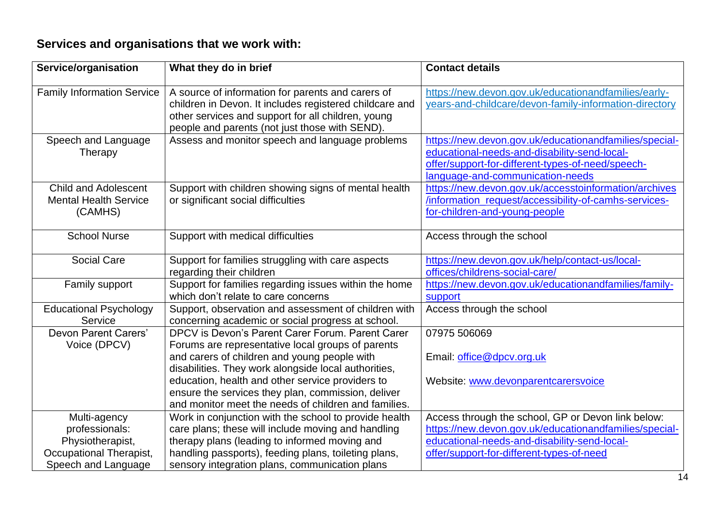### **Services and organisations that we work with:**

| Service/organisation                                                                 | What they do in brief                                                                                                                                                                                                                                                                                                   | <b>Contact details</b>                                                                                                                                                                          |
|--------------------------------------------------------------------------------------|-------------------------------------------------------------------------------------------------------------------------------------------------------------------------------------------------------------------------------------------------------------------------------------------------------------------------|-------------------------------------------------------------------------------------------------------------------------------------------------------------------------------------------------|
| <b>Family Information Service</b>                                                    | A source of information for parents and carers of<br>children in Devon. It includes registered childcare and<br>other services and support for all children, young<br>people and parents (not just those with SEND).                                                                                                    | https://new.devon.gov.uk/educationandfamilies/early-<br>years-and-childcare/devon-family-information-directory                                                                                  |
| Speech and Language<br>Therapy                                                       | Assess and monitor speech and language problems                                                                                                                                                                                                                                                                         | https://new.devon.gov.uk/educationandfamilies/special-<br>educational-needs-and-disability-send-local-<br>offer/support-for-different-types-of-need/speech-<br>language-and-communication-needs |
| <b>Child and Adolescent</b><br><b>Mental Health Service</b><br>(CAMHS)               | Support with children showing signs of mental health<br>or significant social difficulties                                                                                                                                                                                                                              | https://new.devon.gov.uk/accesstoinformation/archives<br>/information_request/accessibility-of-camhs-services-<br>for-children-and-young-people                                                 |
| School Nurse                                                                         | Support with medical difficulties                                                                                                                                                                                                                                                                                       | Access through the school                                                                                                                                                                       |
| <b>Social Care</b>                                                                   | Support for families struggling with care aspects<br>regarding their children                                                                                                                                                                                                                                           | https://new.devon.gov.uk/help/contact-us/local-<br>offices/childrens-social-care/                                                                                                               |
| Family support                                                                       | Support for families regarding issues within the home<br>which don't relate to care concerns                                                                                                                                                                                                                            | https://new.devon.gov.uk/educationandfamilies/family-<br>support                                                                                                                                |
| <b>Educational Psychology</b><br>Service                                             | Support, observation and assessment of children with<br>concerning academic or social progress at school.                                                                                                                                                                                                               | Access through the school                                                                                                                                                                       |
| Devon Parent Carers'<br>Voice (DPCV)                                                 | DPCV is Devon's Parent Carer Forum. Parent Carer<br>Forums are representative local groups of parents<br>and carers of children and young people with<br>disabilities. They work alongside local authorities,<br>education, health and other service providers to<br>ensure the services they plan, commission, deliver | 07975 506069<br>Email: office@dpcv.org.uk<br>Website: www.devonparentcarersvoice                                                                                                                |
| Multi-agency                                                                         | and monitor meet the needs of children and families.<br>Work in conjunction with the school to provide health                                                                                                                                                                                                           | Access through the school, GP or Devon link below:                                                                                                                                              |
| professionals:<br>Physiotherapist,<br>Occupational Therapist,<br>Speech and Language | care plans; these will include moving and handling<br>therapy plans (leading to informed moving and<br>handling passports), feeding plans, toileting plans,<br>sensory integration plans, communication plans                                                                                                           | https://new.devon.gov.uk/educationandfamilies/special-<br>educational-needs-and-disability-send-local-<br>offer/support-for-different-types-of-need                                             |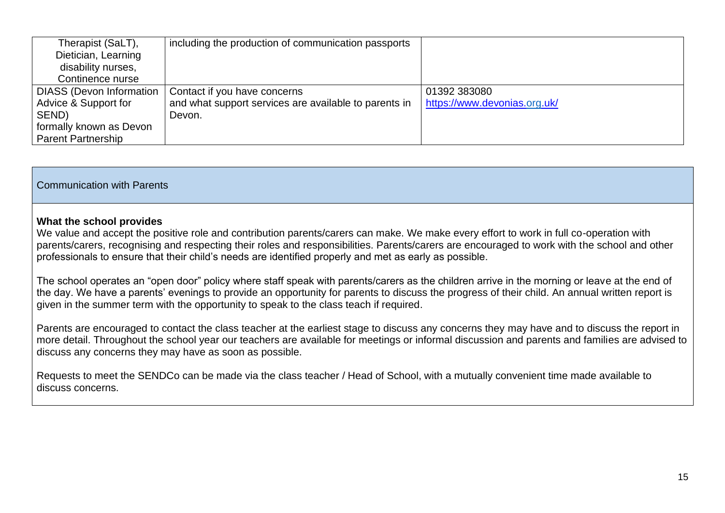| Therapist (SaLT),               | including the production of communication passports   |                              |
|---------------------------------|-------------------------------------------------------|------------------------------|
| Dietician, Learning             |                                                       |                              |
| disability nurses,              |                                                       |                              |
| Continence nurse                |                                                       |                              |
| <b>DIASS (Devon Information</b> | Contact if you have concerns                          | 01392 383080                 |
| Advice & Support for            | and what support services are available to parents in | https://www.devonias.org.uk/ |
| SEND)                           | Devon.                                                |                              |
| formally known as Devon         |                                                       |                              |
| <b>Parent Partnership</b>       |                                                       |                              |

#### Communication with Parents

#### **What the school provides**

We value and accept the positive role and contribution parents/carers can make. We make every effort to work in full co-operation with parents/carers, recognising and respecting their roles and responsibilities. Parents/carers are encouraged to work with the school and other professionals to ensure that their child's needs are identified properly and met as early as possible.

The school operates an "open door" policy where staff speak with parents/carers as the children arrive in the morning or leave at the end of the day. We have a parents' evenings to provide an opportunity for parents to discuss the progress of their child. An annual written report is given in the summer term with the opportunity to speak to the class teach if required.

Parents are encouraged to contact the class teacher at the earliest stage to discuss any concerns they may have and to discuss the report in more detail. Throughout the school year our teachers are available for meetings or informal discussion and parents and families are advised to discuss any concerns they may have as soon as possible.

Requests to meet the SENDCo can be made via the class teacher / Head of School, with a mutually convenient time made available to discuss concerns.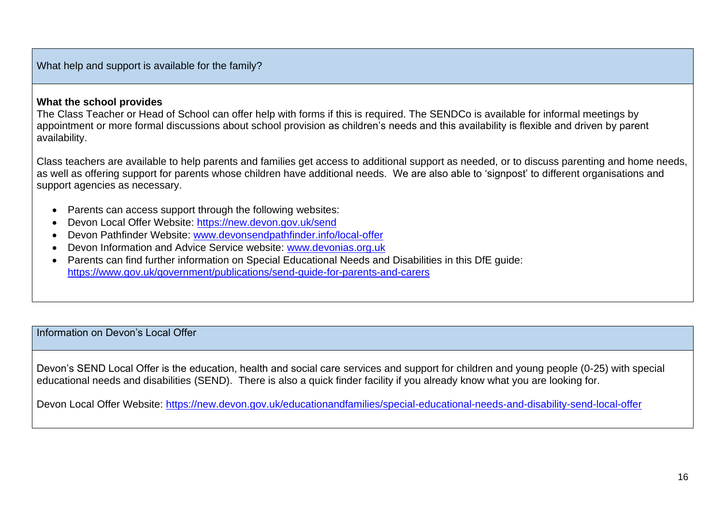What help and support is available for the family?

#### **What the school provides**

The Class Teacher or Head of School can offer help with forms if this is required. The SENDCo is available for informal meetings by appointment or more formal discussions about school provision as children's needs and this availability is flexible and driven by parent availability.

Class teachers are available to help parents and families get access to additional support as needed, or to discuss parenting and home needs, as well as offering support for parents whose children have additional needs. We are also able to 'signpost' to different organisations and support agencies as necessary.

- Parents can access support through the following websites:
- Devon Local Offer Website:<https://new.devon.gov.uk/send>
- Devon Pathfinder Website: [www.devonsendpathfinder.info/local-offer](http://www.devonsendpathfinder.info/local-offer)
- Devon Information and Advice Service website: [www.devonias.org.uk](http://www.devonias.org.uk/)
- Parents can find further information on Special Educational Needs and Disabilities in this DfE guide: <https://www.gov.uk/government/publications/send-guide-for-parents-and-carers>

Information on Devon's Local Offer

Devon's SEND Local Offer is the education, health and social care services and support for children and young people (0-25) with special educational needs and disabilities (SEND). There is also a quick finder facility if you already know what you are looking for.

Devon Local Offer Website: <https://new.devon.gov.uk/educationandfamilies/special-educational-needs-and-disability-send-local-offer>